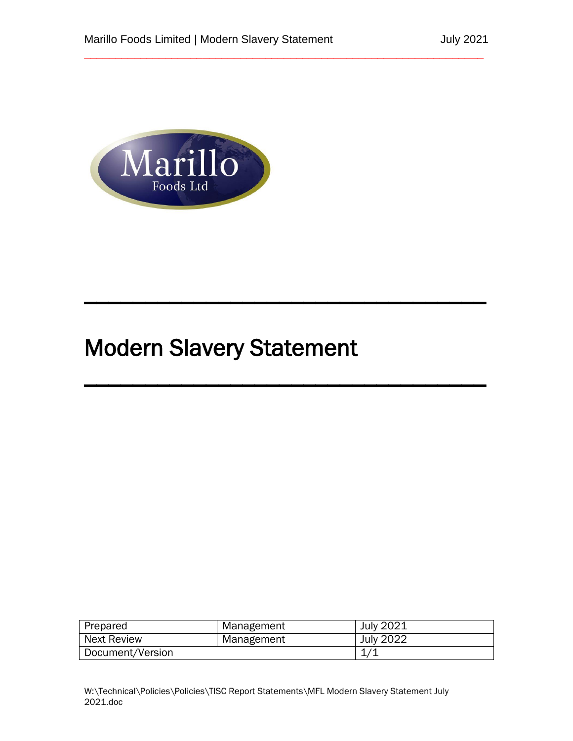\_\_\_\_\_\_\_\_\_\_\_\_\_\_\_\_\_\_\_\_\_\_\_\_\_\_\_\_\_\_\_\_\_\_\_\_\_\_\_\_\_\_\_\_\_\_\_\_\_\_\_\_\_\_\_\_\_\_\_\_\_\_\_\_

 $\overline{\phantom{a}}$  , and the contribution of the contribution of  $\overline{\phantom{a}}$  , and  $\overline{\phantom{a}}$ 

 $\overline{\phantom{a}}$ 



# Modern Slavery Statement

| Prepared           | Management | July 2021        |
|--------------------|------------|------------------|
| <b>Next Review</b> | Management | <b>July 2022</b> |
| Document/Version   |            |                  |
|                    |            |                  |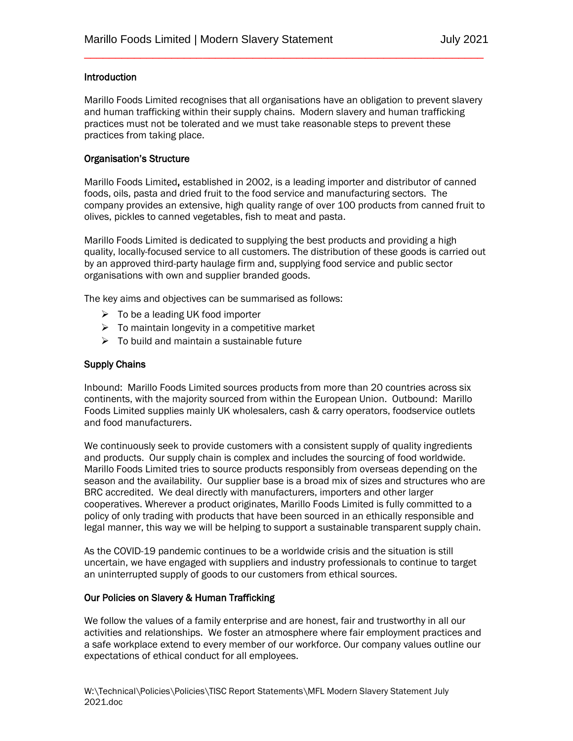## Introduction

Marillo Foods Limited recognises that all organisations have an obligation to prevent slavery and human trafficking within their supply chains. Modern slavery and human trafficking practices must not be tolerated and we must take reasonable steps to prevent these practices from taking place.

\_\_\_\_\_\_\_\_\_\_\_\_\_\_\_\_\_\_\_\_\_\_\_\_\_\_\_\_\_\_\_\_\_\_\_\_\_\_\_\_\_\_\_\_\_\_\_\_\_\_\_\_\_\_\_\_\_\_\_\_\_\_\_\_

#### Organisation's Structure

Marillo Foods Limited, established in 2002, is a leading importer and distributor of canned foods, oils, pasta and dried fruit to the food service and manufacturing sectors. The company provides an extensive, high quality range of over 100 products from canned fruit to olives, pickles to canned vegetables, fish to meat and pasta.

Marillo Foods Limited is dedicated to supplying the best products and providing a high quality, locally-focused service to all customers. The distribution of these goods is carried out by an approved third-party haulage firm and, supplying food service and public sector organisations with own and supplier branded goods.

The key aims and objectives can be summarised as follows:

- $\triangleright$  To be a leading UK food importer
- $\triangleright$  To maintain longevity in a competitive market
- $\triangleright$  To build and maintain a sustainable future

## Supply Chains

Inbound: Marillo Foods Limited sources products from more than 20 countries across six continents, with the majority sourced from within the European Union. Outbound: Marillo Foods Limited supplies mainly UK wholesalers, cash & carry operators, foodservice outlets and food manufacturers.

We continuously seek to provide customers with a consistent supply of quality ingredients and products. Our supply chain is complex and includes the sourcing of food worldwide. Marillo Foods Limited tries to source products responsibly from overseas depending on the season and the availability. Our supplier base is a broad mix of sizes and structures who are BRC accredited. We deal directly with manufacturers, importers and other larger cooperatives. Wherever a product originates, Marillo Foods Limited is fully committed to a policy of only trading with products that have been sourced in an ethically responsible and legal manner, this way we will be helping to support a sustainable transparent supply chain.

As the COVID-19 pandemic continues to be a worldwide crisis and the situation is still uncertain, we have engaged with suppliers and industry professionals to continue to target an uninterrupted supply of goods to our customers from ethical sources.

#### Our Policies on Slavery & Human Trafficking

We follow the values of a family enterprise and are honest, fair and trustworthy in all our activities and relationships. We foster an atmosphere where fair employment practices and a safe workplace extend to every member of our workforce. Our company values outline our expectations of ethical conduct for all employees.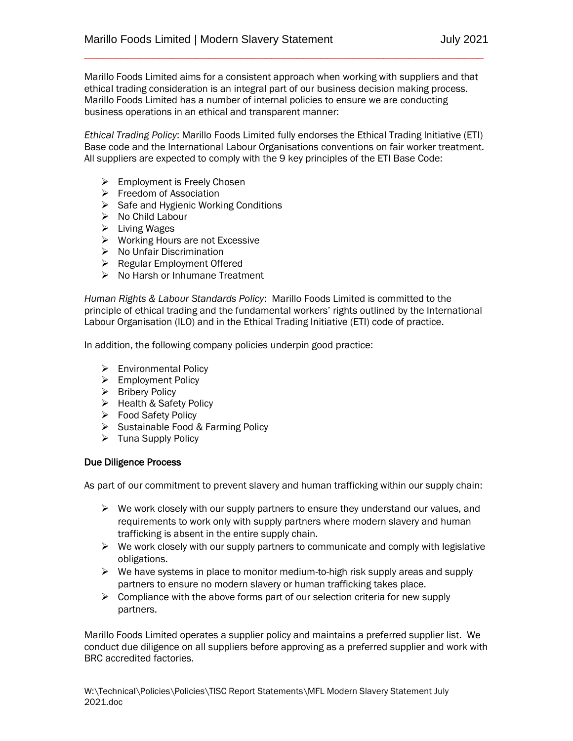Marillo Foods Limited aims for a consistent approach when working with suppliers and that ethical trading consideration is an integral part of our business decision making process. Marillo Foods Limited has a number of internal policies to ensure we are conducting business operations in an ethical and transparent manner:

\_\_\_\_\_\_\_\_\_\_\_\_\_\_\_\_\_\_\_\_\_\_\_\_\_\_\_\_\_\_\_\_\_\_\_\_\_\_\_\_\_\_\_\_\_\_\_\_\_\_\_\_\_\_\_\_\_\_\_\_\_\_\_\_

*Ethical Trading Policy*: Marillo Foods Limited fully endorses the Ethical Trading Initiative (ETI) Base code and the International Labour Organisations conventions on fair worker treatment. All suppliers are expected to comply with the 9 key principles of the ETI Base Code:

- $\triangleright$  Employment is Freely Chosen
- $\triangleright$  Freedom of Association
- $\triangleright$  Safe and Hygienic Working Conditions
- $\triangleright$  No Child Labour
- $\triangleright$  Living Wages
- $\triangleright$  Working Hours are not Excessive
- $\triangleright$  No Unfair Discrimination
- $\triangleright$  Regular Employment Offered
- $\triangleright$  No Harsh or Inhumane Treatment

*Human Rights & Labour Standards Policy*: Marillo Foods Limited is committed to the principle of ethical trading and the fundamental workers' rights outlined by the International Labour Organisation (ILO) and in the Ethical Trading Initiative (ETI) code of practice.

In addition, the following company policies underpin good practice:

- Environmental Policy
- > Employment Policy
- $\triangleright$  Bribery Policy
- ▶ Health & Safety Policy
- Food Safety Policy
- $\triangleright$  Sustainable Food & Farming Policy
- $\triangleright$  Tuna Supply Policy

#### Due Diligence Process

As part of our commitment to prevent slavery and human trafficking within our supply chain:

- $\triangleright$  We work closely with our supply partners to ensure they understand our values, and requirements to work only with supply partners where modern slavery and human trafficking is absent in the entire supply chain.
- $\triangleright$  We work closely with our supply partners to communicate and comply with legislative obligations.
- $\triangleright$  We have systems in place to monitor medium-to-high risk supply areas and supply partners to ensure no modern slavery or human trafficking takes place.
- $\triangleright$  Compliance with the above forms part of our selection criteria for new supply partners.

Marillo Foods Limited operates a supplier policy and maintains a preferred supplier list. We conduct due diligence on all suppliers before approving as a preferred supplier and work with BRC accredited factories.